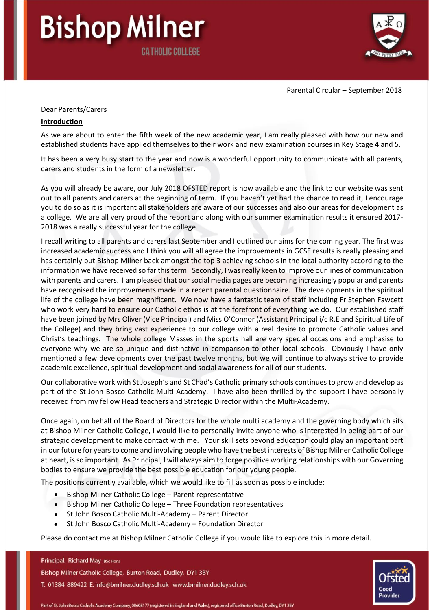

Parental Circular – September 2018

### Dear Parents/Carers

**Bishop Milner** 

**CATHOLIC COLLEGE** 

### **Introduction**

As we are about to enter the fifth week of the new academic year, I am really pleased with how our new and established students have applied themselves to their work and new examination courses in Key Stage 4 and 5.

It has been a very busy start to the year and now is a wonderful opportunity to communicate with all parents, carers and students in the form of a newsletter.

As you will already be aware, our July 2018 OFSTED report is now available and the link to our website was sent out to all parents and carers at the beginning of term. If you haven't yet had the chance to read it, I encourage you to do so as it is important all stakeholders are aware of our successes and also our areas for development as a college. We are all very proud of the report and along with our summer examination results it ensured 2017- 2018 was a really successful year for the college.

I recall writing to all parents and carers last September and I outlined our aims for the coming year. The first was increased academic success and I think you will all agree the improvements in GCSE results is really pleasing and has certainly put Bishop Milner back amongst the top 3 achieving schools in the local authority according to the information we have received so far this term. Secondly, I was really keen to improve our lines of communication with parents and carers. I am pleased that our social media pages are becoming increasingly popular and parents have recognised the improvements made in a recent parental questionnaire. The developments in the spiritual life of the college have been magnificent. We now have a fantastic team of staff including Fr Stephen Fawcett who work very hard to ensure our Catholic ethos is at the forefront of everything we do. Our established staff have been joined by Mrs Oliver (Vice Principal) and Miss O'Connor (Assistant Principal i/c R.E and Spiritual Life of the College) and they bring vast experience to our college with a real desire to promote Catholic values and Christ's teachings. The whole college Masses in the sports hall are very special occasions and emphasise to everyone why we are so unique and distinctive in comparison to other local schools. Obviously I have only mentioned a few developments over the past twelve months, but we will continue to always strive to provide academic excellence, spiritual development and social awareness for all of our students.

Our collaborative work with St Joseph's and St Chad's Catholic primary schools continues to grow and develop as part of the St John Bosco Catholic Multi Academy. I have also been thrilled by the support I have personally received from my fellow Head teachers and Strategic Director within the Multi-Academy.

Once again, on behalf of the Board of Directors for the whole multi academy and the governing body which sits at Bishop Milner Catholic College, I would like to personally invite anyone who is interested in being part of our strategic development to make contact with me. Your skill sets beyond education could play an important part in our future for years to come and involving people who have the best interests of Bishop Milner Catholic College at heart, is so important. As Principal, I will always aim to forge positive working relationships with our Governing bodies to ensure we provide the best possible education for our young people.

The positions currently available, which we would like to fill as soon as possible include:

- Bishop Milner Catholic College Parent representative
- Bishop Milner Catholic College Three Foundation representatives
- St John Bosco Catholic Multi-Academy Parent Director
- St John Bosco Catholic Multi-Academy Foundation Director

Please do contact me at Bishop Milner Catholic College if you would like to explore this in more detail.

#### Principal. Richard May BSc Hons

Bishop Milner Catholic College, Burton Road, Dudley, DY1 3BY

T. 01384 889422 E. info@bmilner.dudley.sch.uk www.bmilner.dudley.sch.uk

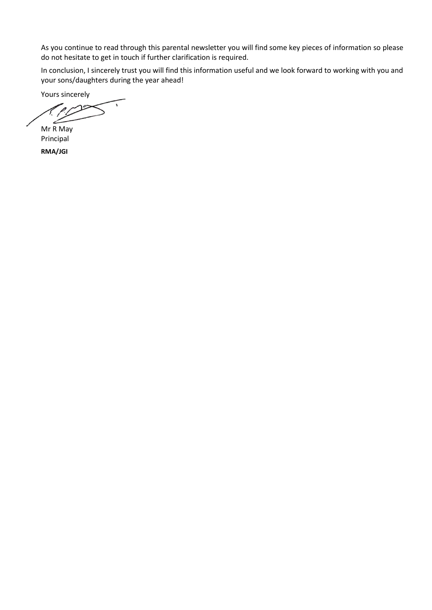As you continue to read through this parental newsletter you will find some key pieces of information so please do not hesitate to get in touch if further clarification is required.

In conclusion, I sincerely trust you will find this information useful and we look forward to working with you and your sons/daughters during the year ahead!

Yours sincerely

Mr R May Principal

**RMA/JGI**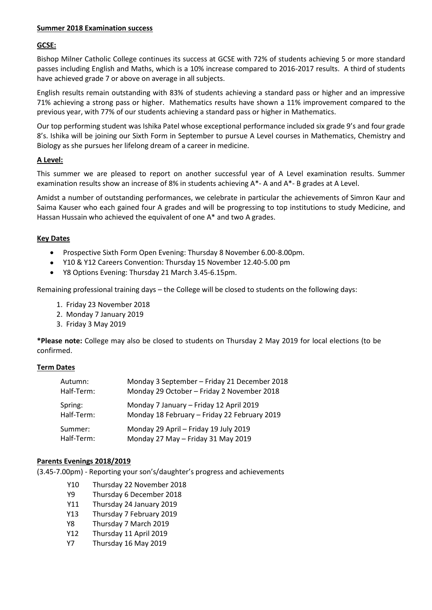### **Summer 2018 Examination success**

## **GCSE:**

Bishop Milner Catholic College continues its success at GCSE with 72% of students achieving 5 or more standard passes including English and Maths, which is a 10% increase compared to 2016-2017 results. A third of students have achieved grade 7 or above on average in all subjects.

English results remain outstanding with 83% of students achieving a standard pass or higher and an impressive 71% achieving a strong pass or higher. Mathematics results have shown a 11% improvement compared to the previous year, with 77% of our students achieving a standard pass or higher in Mathematics.

Our top performing student was Ishika Patel whose exceptional performance included six grade 9's and four grade 8's. Ishika will be joining our Sixth Form in September to pursue A Level courses in Mathematics, Chemistry and Biology as she pursues her lifelong dream of a career in medicine.

# **A Level:**

This summer we are pleased to report on another successful year of A Level examination results. Summer examination results show an increase of 8% in students achieving A\*- A and A\*- B grades at A Level.

Amidst a number of outstanding performances, we celebrate in particular the achievements of Simron Kaur and Saima Kauser who each gained four A grades and will be progressing to top institutions to study Medicine, and Hassan Hussain who achieved the equivalent of one A\* and two A grades.

## **Key Dates**

- Prospective Sixth Form Open Evening: Thursday 8 November 6.00-8.00pm.
- Y10 & Y12 Careers Convention: Thursday 15 November 12.40-5.00 pm
- Y8 Options Evening: Thursday 21 March 3.45-6.15pm.

Remaining professional training days – the College will be closed to students on the following days:

- 1. Friday 23 November 2018
- 2. Monday 7 January 2019
- 3. Friday 3 May 2019

**\*Please note:** College may also be closed to students on Thursday 2 May 2019 for local elections (to be confirmed.

## **Term Dates**

| Autumn:    | Monday 3 September - Friday 21 December 2018 |
|------------|----------------------------------------------|
| Half-Term: | Monday 29 October - Friday 2 November 2018   |
| Spring:    | Monday 7 January - Friday 12 April 2019      |
| Half-Term: | Monday 18 February - Friday 22 February 2019 |
| Summer:    | Monday 29 April - Friday 19 July 2019        |
| Half-Term: | Monday 27 May - Friday 31 May 2019           |

## **Parents Evenings 2018/2019**

(3.45-7.00pm) - Reporting your son's/daughter's progress and achievements

- Y10 Thursday 22 November 2018
- Y9 Thursday 6 December 2018
- Y11 Thursday 24 January 2019
- Y13 Thursday 7 February 2019
- Y8 Thursday 7 March 2019
- Y12 Thursday 11 April 2019
- Y7 Thursday 16 May 2019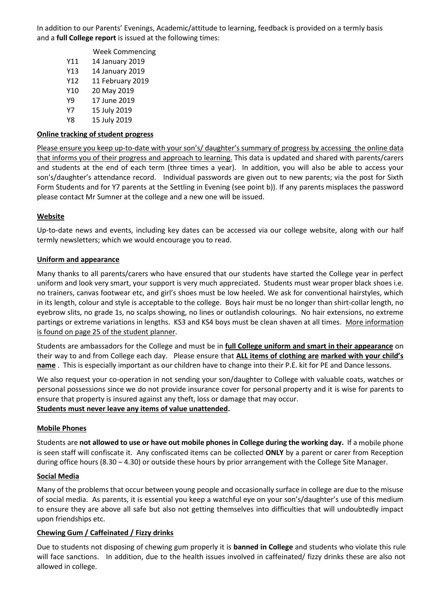In addition to our Parents' Evenings, Academic/attitude to learning, feedback is provided on a termly basis and a **full College report** is issued at the following times:

- Week Commencing Y11 14 January 2019 Y13 14 January 2019 Y12 11 February 2019 Y10 20 May 2019 Y9 17 June 2019 Y7 15 July 2019
- Y8 15 July 2019

### **Online tracking of student progress**

Please ensure you keep up-to-date with your son's/ daughter's summary of progress by accessing the online data that informs you of their progress and approach to learning. This data is updated and shared with parents/carers and students at the end of each term (three times a year). In addition, you will also be able to access your son's/daughter's attendance record. Individual passwords are given out to new parents; via the post for Sixth Form Students and for Y7 parents at the Settling in Evening (see point b)). If any parents misplaces the password please contact Mr Sumner at the college and a new one will be issued.

### **Website**

Up-to-date news and events, including key dates can be accessed via our college website, along with our half termly newsletters; which we would encourage you to read.

### **Uniform and appearance**

Many thanks to all parents/carers who have ensured that our students have started the College year in perfect uniform and look very smart, your support is very much appreciated. Students must wear proper black shoes i.e. no trainers, canvas footwear etc, and girl's shoes must be low heeled. We ask for conventional hairstyles, which in its length, colour and style is acceptable to the college. Boys hair must be no longer than shirt-collar length, no eyebrow slits, no grade 1s, no scalps showing, no lines or outlandish colourings. No hair extensions, no extreme partings or extreme variations in lengths. KS3 and KS4 boys must be clean shaven at all times. More information is found on page 25 of the student planner.

Students are ambassadors for the College and must be in **full College uniform and smart in their appearance** on their way to and from College each day. Please ensure that **ALL items of clothing are marked with your child's name** . This is especially important as our children have to change into their P.E. kit for PE and Dance lessons.

We also request your co-operation in not sending your son/daughter to College with valuable coats, watches or personal possessions since we do not provide insurance cover for personal property and it is wise for parents to ensure that property is insured against any theft, loss or damage that may occur. **Students must never leave any items of value unattended.** 

#### **Mobile Phones**

Students are **not allowed to use or have out mobile phones in College during the working day.** If a mobile phone is seen staff will confiscate it. Any confiscated items can be collected **ONLY** by a parent or carer from Reception during office hours (8.30 – 4.30) or outside these hours by prior arrangement with the College Site Manager.

#### **Social Media**

Many of the problems that occur between young people and occasionally surface in college are due to the misuse of social media. As parents, it is essential you keep a watchful eye on your son's/daughter's use of this medium to ensure they are above all safe but also not getting themselves into difficulties that will undoubtedly impact upon friendships etc.

## **Chewing Gum / Caffeinated / Fizzy drinks**

Due to students not disposing of chewing gum properly it is **banned in College** and students who violate this rule will face sanctions. In addition, due to the health issues involved in caffeinated/ fizzy drinks these are also not allowed in college.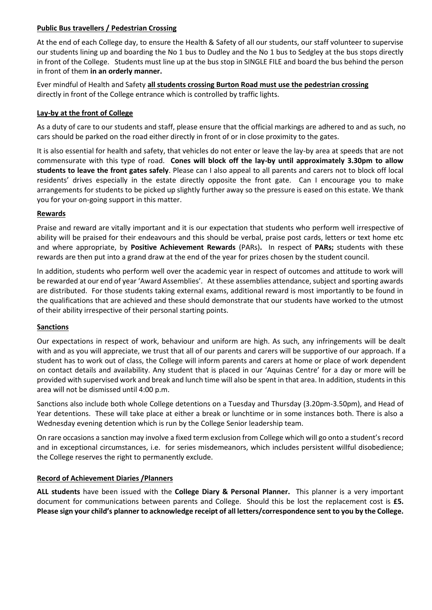# **Public Bus travellers / Pedestrian Crossing**

At the end of each College day, to ensure the Health & Safety of all our students, our staff volunteer to supervise our students lining up and boarding the No 1 bus to Dudley and the No 1 bus to Sedgley at the bus stops directly in front of the College. Students must line up at the bus stop in SINGLE FILE and board the bus behind the person in front of them **in an orderly manner.**

Ever mindful of Health and Safety **all students crossing Burton Road must use the pedestrian crossing** directly in front of the College entrance which is controlled by traffic lights.

## **Lay-by at the front of College**

As a duty of care to our students and staff, please ensure that the official markings are adhered to and as such, no cars should be parked on the road either directly in front of or in close proximity to the gates.

It is also essential for health and safety, that vehicles do not enter or leave the lay-by area at speeds that are not commensurate with this type of road. **Cones will block off the lay-by until approximately 3.30pm to allow students to leave the front gates safely**. Please can I also appeal to all parents and carers not to block off local residents' drives especially in the estate directly opposite the front gate. Can I encourage you to make arrangements for students to be picked up slightly further away so the pressure is eased on this estate. We thank you for your on-going support in this matter.

# **Rewards**

Praise and reward are vitally important and it is our expectation that students who perform well irrespective of ability will be praised for their endeavours and this should be verbal, praise post cards, letters or text home etc and where appropriate, by **Positive Achievement Rewards** (PARs)**.** In respect of **PARs;** students with these rewards are then put into a grand draw at the end of the year for prizes chosen by the student council.

In addition, students who perform well over the academic year in respect of outcomes and attitude to work will be rewarded at our end of year 'Award Assemblies'. At these assemblies attendance, subject and sporting awards are distributed. For those students taking external exams, additional reward is most importantly to be found in the qualifications that are achieved and these should demonstrate that our students have worked to the utmost of their ability irrespective of their personal starting points.

## **Sanctions**

Our expectations in respect of work, behaviour and uniform are high. As such, any infringements will be dealt with and as you will appreciate, we trust that all of our parents and carers will be supportive of our approach. If a student has to work out of class, the College will inform parents and carers at home or place of work dependent on contact details and availability. Any student that is placed in our 'Aquinas Centre' for a day or more will be provided with supervised work and break and lunch time will also be spent in that area. In addition, students in this area will not be dismissed until 4:00 p.m.

Sanctions also include both whole College detentions on a Tuesday and Thursday (3.20pm-3.50pm), and Head of Year detentions. These will take place at either a break or lunchtime or in some instances both. There is also a Wednesday evening detention which is run by the College Senior leadership team.

On rare occasions a sanction may involve a fixed term exclusion from College which will go onto a student's record and in exceptional circumstances, i.e. for series misdemeanors, which includes persistent willful disobedience; the College reserves the right to permanently exclude.

## **Record of Achievement Diaries /Planners**

**ALL students** have been issued with the **College Diary & Personal Planner.** This planner is a very important document for communications between parents and College. Should this be lost the replacement cost is **£5. Please sign your child's planner to acknowledge receipt of all letters/correspondence sent to you by the College.**